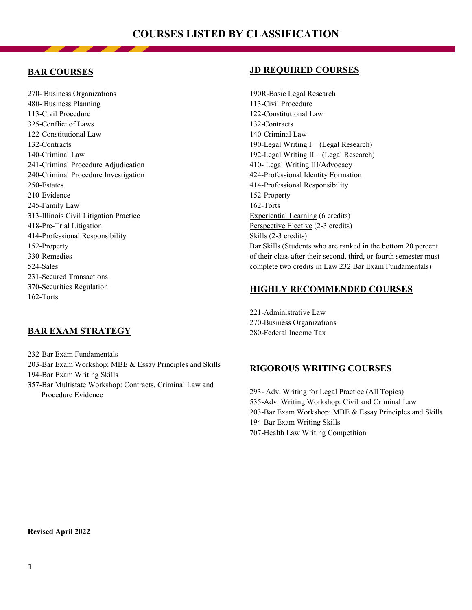# **BAR COURSES**

270- Business Organizations 480- Business Planning 113-Civil Procedure 325-Conflict of Laws 122-Constitutional Law 132-Contracts 140-Criminal Law 241-Criminal Procedure Adjudication 240-Criminal Procedure Investigation 250-Estates 210-Evidence 245-Family Law 313-Illinois Civil Litigation Practice 418-Pre-Trial Litigation 414-Professional Responsibility 152-Property 330-Remedies 524-Sales 231-Secured Transactions 370-Securities Regulation 162-Torts

# **BAR EXAM STRATEGY**

232-Bar Exam Fundamentals 203-Bar Exam Workshop: MBE & Essay Principles and Skills 194-Bar Exam Writing Skills

357-Bar Multistate Workshop: Contracts, Criminal Law and Procedure Evidence

# **JD REQUIRED COURSES**

190R-Basic Legal Research 113-Civil Procedure 122-Constitutional Law 132-Contracts 140-Criminal Law 190-Legal Writing I – (Legal Research) 192-Legal Writing II – (Legal Research) 410- Legal Writing III/Advocacy 424-Professional Identity Formation 414-Professional Responsibility 152-Property 162-Torts Experiential Learning (6 credits) Perspective Elective (2-3 credits) Skills (2-3 credits) Bar Skills (Students who are ranked in the bottom 20 percent of their class after their second, third, or fourth semester must complete two credits in Law 232 Bar Exam Fundamentals)

# **HIGHLY RECOMMENDED COURSES**

221-Administrative Law 270-Business Organizations 280-Federal Income Tax

## **RIGOROUS WRITING COURSES**

293- Adv. Writing for Legal Practice (All Topics) 535-Adv. Writing Workshop: Civil and Criminal Law 203-Bar Exam Workshop: MBE & Essay Principles and Skills 194-Bar Exam Writing Skills 707-Health Law Writing Competition

#### **Revised April 2022**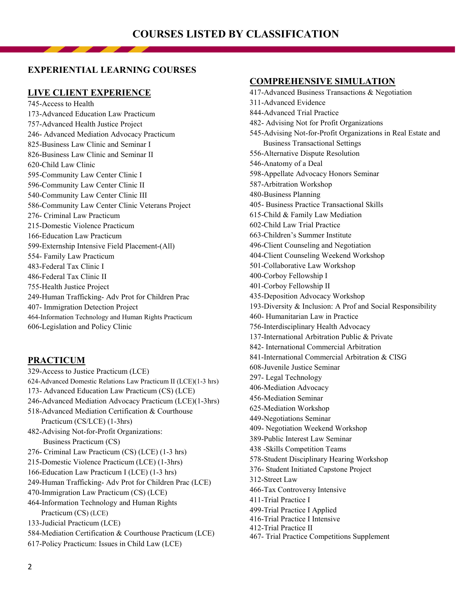## **EXPERIENTIAL LEARNING COURSES**

#### **LIVE CLIENT EXPERIENCE**

745-Access to Health 173-Advanced Education Law Practicum 757-Advanced Health Justice Project 246- Advanced Mediation Advocacy Practicum 825-Business Law Clinic and Seminar I 826-Business Law Clinic and Seminar II 620-Child Law Clinic 595-Community Law Center Clinic I 596-Community Law Center Clinic II 540-Community Law Center Clinic III 586-Community Law Center Clinic Veterans Project 276- Criminal Law Practicum 215-Domestic Violence Practicum 166-Education Law Practicum 599-Externship Intensive Field Placement-(All) 554- Family Law Practicum 483-Federal Tax Clinic I 486-Federal Tax Clinic II 755-Health Justice Project 249-Human Trafficking- Adv Prot for Children Prac 407- Immigration Detection Project 464-Information Technology and Human Rights Practicum 606-Legislation and Policy Clinic

## **PRACTICUM**

329-Access to Justice Practicum (LCE) 624-Advanced Domestic Relations Law Practicum II (LCE)(1-3 hrs) 173- Advanced Education Law Practicum (CS) (LCE) 246-Advanced Mediation Advocacy Practicum (LCE)(1-3hrs) 518-Advanced Mediation Certification & Courthouse Practicum (CS/LCE) (1-3hrs) 482-Advising Not-for-Profit Organizations: Business Practicum (CS) 276- Criminal Law Practicum (CS) (LCE) (1-3 hrs) 215-Domestic Violence Practicum (LCE) (1-3hrs) 166-Education Law Practicum I (LCE) (1-3 hrs) 249-Human Trafficking- Adv Prot for Children Prac (LCE) 470-Immigration Law Practicum (CS) (LCE) 464-Information Technology and Human Rights Practicum (CS) (LCE) 133-Judicial Practicum (LCE) 584-Mediation Certification & Courthouse Practicum (LCE) 617-Policy Practicum: Issues in Child Law (LCE)

#### **COMPREHENSIVE SIMULATION**

417-Advanced Business Transactions & Negotiation 311-Advanced Evidence 844-Advanced Trial Practice 482- Advising Not for Profit Organizations 545-Advising Not-for-Profit Organizations in Real Estate and Business Transactional Settings 556-Alternative Dispute Resolution 546-Anatomy of a Deal 598-Appellate Advocacy Honors Seminar 587-Arbitration Workshop 480-Business Planning 405- Business Practice Transactional Skills 615-Child & Family Law Mediation 602-Child Law Trial Practice 663-Children's Summer Institute 496-Client Counseling and Negotiation 404-Client Counseling Weekend Workshop 501-Collaborative Law Workshop 400-Corboy Fellowship I 401-Corboy Fellowship II 435-Deposition Advocacy Workshop 193-Diversity & Inclusion: A Prof and Social Responsibility 460- Humanitarian Law in Practice 756-Interdisciplinary Health Advocacy 137-International Arbitration Public & Private 842- International Commercial Arbitration 841-International Commercial Arbitration & CISG 608-Juvenile Justice Seminar 297- Legal Technology 406-Mediation Advocacy 456-Mediation Seminar 625-Mediation Workshop 449-Negotiations Seminar 409- Negotiation Weekend Workshop 389-Public Interest Law Seminar 438 -Skills Competition Teams 578-Student Disciplinary Hearing Workshop 376- Student Initiated Capstone Project 312-Street Law 466-Tax Controversy Intensive 411-Trial Practice I 499-Trial Practice I Applied 416-Trial Practice I Intensive 412-Trial Practice II 467- Trial Practice Competitions Supplement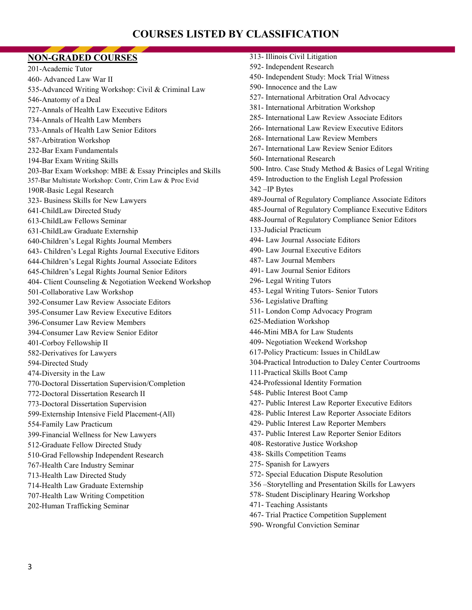# **COURSES LISTED BY CLASSIFICATION**

| <b>NON-GRADED COURSES</b>                                | 313- Illinois Civil Litigation                          |
|----------------------------------------------------------|---------------------------------------------------------|
| 201-Academic Tutor                                       | 592- Independent Research                               |
| 460- Advanced Law War II                                 | 450- Independent Study: Mock Trial Witness              |
| 535-Advanced Writing Workshop: Civil & Criminal Law      | 590- Innocence and the Law                              |
| 546-Anatomy of a Deal                                    | 527- International Arbitration Oral Advocacy            |
| 727-Annals of Health Law Executive Editors               | 381- International Arbitration Workshop                 |
| 734-Annals of Health Law Members                         | 285- International Law Review Associate Editors         |
| 733-Annals of Health Law Senior Editors                  | 266- International Law Review Executive Editors         |
| 587-Arbitration Workshop                                 | 268- International Law Review Members                   |
| 232-Bar Exam Fundamentals                                | 267- International Law Review Senior Editors            |
| 194-Bar Exam Writing Skills                              | 560- International Research                             |
| 203-Bar Exam Workshop: MBE & Essay Principles and Skills | 500- Intro. Case Study Method & Basics of Legal Writing |
| 357-Bar Multistate Workshop: Contr, Crim Law & Proc Evid | 459- Introduction to the English Legal Profession       |
| 190R-Basic Legal Research                                | 342 - IP Bytes                                          |
| 323- Business Skills for New Lawyers                     | 489-Journal of Regulatory Compliance Associate Editors  |
| 641-ChildLaw Directed Study                              | 485-Journal of Regulatory Compliance Executive Editors  |
| 613-ChildLaw Fellows Seminar                             | 488-Journal of Regulatory Compliance Senior Editors     |
| 631-ChildLaw Graduate Externship                         | 133-Judicial Practicum                                  |
| 640-Children's Legal Rights Journal Members              | 494- Law Journal Associate Editors                      |
| 643- Children's Legal Rights Journal Executive Editors   | 490- Law Journal Executive Editors                      |
| 644-Children's Legal Rights Journal Associate Editors    | 487- Law Journal Members                                |
| 645-Children's Legal Rights Journal Senior Editors       | 491- Law Journal Senior Editors                         |
| 404- Client Counseling & Negotiation Weekend Workshop    | 296- Legal Writing Tutors                               |
| 501-Collaborative Law Workshop                           | 453- Legal Writing Tutors- Senior Tutors                |
| 392-Consumer Law Review Associate Editors                | 536- Legislative Drafting                               |
| 395-Consumer Law Review Executive Editors                | 511- London Comp Advocacy Program                       |
| 396-Consumer Law Review Members                          | 625-Mediation Workshop                                  |
| 394-Consumer Law Review Senior Editor                    | 446-Mini MBA for Law Students                           |
| 401-Corboy Fellowship II                                 | 409- Negotiation Weekend Workshop                       |
| 582-Derivatives for Lawyers                              | 617-Policy Practicum: Issues in ChildLaw                |
| 594-Directed Study                                       | 304-Practical Introduction to Daley Center Courtrooms   |
| 474-Diversity in the Law                                 | 111-Practical Skills Boot Camp                          |
| 770-Doctoral Dissertation Supervision/Completion         | 424-Professional Identity Formation                     |
| 772-Doctoral Dissertation Research II                    | 548- Public Interest Boot Camp                          |
| 773-Doctoral Dissertation Supervision                    | 427- Public Interest Law Reporter Executive Editors     |
| 599-Externship Intensive Field Placement-(All)           | 428- Public Interest Law Reporter Associate Editors     |
| 554-Family Law Practicum                                 | 429- Public Interest Law Reporter Members               |
| 399-Financial Wellness for New Lawyers                   | 437- Public Interest Law Reporter Senior Editors        |
| 512-Graduate Fellow Directed Study                       | 408- Restorative Justice Workshop                       |
| 510-Grad Fellowship Independent Research                 | 438- Skills Competition Teams                           |
| 767-Health Care Industry Seminar                         | 275- Spanish for Lawyers                                |
| 713-Health Law Directed Study                            | 572- Special Education Dispute Resolution               |
| 714-Health Law Graduate Externship                       | 356 -Storytelling and Presentation Skills for Lawyers   |
| 707-Health Law Writing Competition                       | 578- Student Disciplinary Hearing Workshop              |
| 202-Human Trafficking Seminar                            | 471- Teaching Assistants                                |
|                                                          | 467- Trial Practice Competition Supplement              |

590- Wrongful Conviction Seminar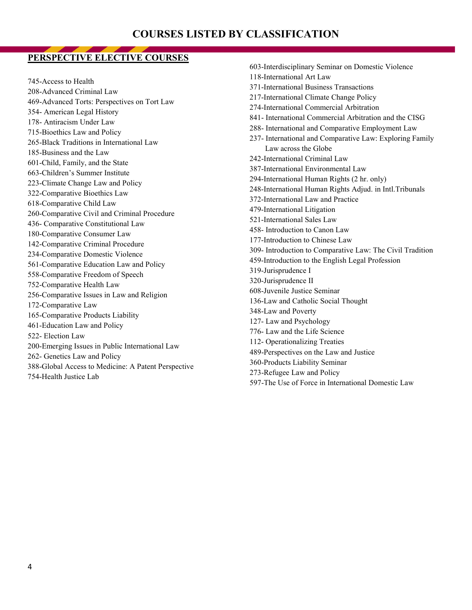# **PERSPECTIVE ELECTIVE COURSES**

745-Access to Health 208-Advanced Criminal Law 469-Advanced Torts: Perspectives on Tort Law 354- American Legal History 178- Antiracism Under Law 715-Bioethics Law and Policy 265-Black Traditions in International Law 185-Business and the Law 601-Child, Family, and the State 663-Children's Summer Institute 223-Climate Change Law and Policy 322-Comparative Bioethics Law 618-Comparative Child Law 260-Comparative Civil and Criminal Procedure 436- Comparative Constitutional Law 180-Comparative Consumer Law 142-Comparative Criminal Procedure 234-Comparative Domestic Violence 561-Comparative Education Law and Policy 558-Comparative Freedom of Speech 752-Comparative Health Law 256-Comparative Issues in Law and Religion 172-Comparative Law 165-Comparative Products Liability 461-Education Law and Policy 522- Election Law 200-Emerging Issues in Public International Law 262- Genetics Law and Policy 388-Global Access to Medicine: A Patent Perspective 754-Health Justice Lab

603-Interdisciplinary Seminar on Domestic Violence 118-International Art Law 371-International Business Transactions 217-International Climate Change Policy 274-International Commercial Arbitration 841- International Commercial Arbitration and the CISG 288- International and Comparative Employment Law 237- International and Comparative Law: Exploring Family Law across the Globe 242-International Criminal Law 387-International Environmental Law 294-International Human Rights (2 hr. only) 248-International Human Rights Adjud. in Intl.Tribunals 372-International Law and Practice 479-International Litigation 521-International Sales Law 458- Introduction to Canon Law 177-Introduction to Chinese Law 309- Introduction to Comparative Law: The Civil Tradition 459-Introduction to the English Legal Profession 319-Jurisprudence I 320-Jurisprudence II 608-Juvenile Justice Seminar 136-Law and Catholic Social Thought 348-Law and Poverty 127- Law and Psychology 776- Law and the Life Science 112- Operationalizing Treaties 489-Perspectives on the Law and Justice 360-Products Liability Seminar 273-Refugee Law and Policy 597-The Use of Force in International Domestic Law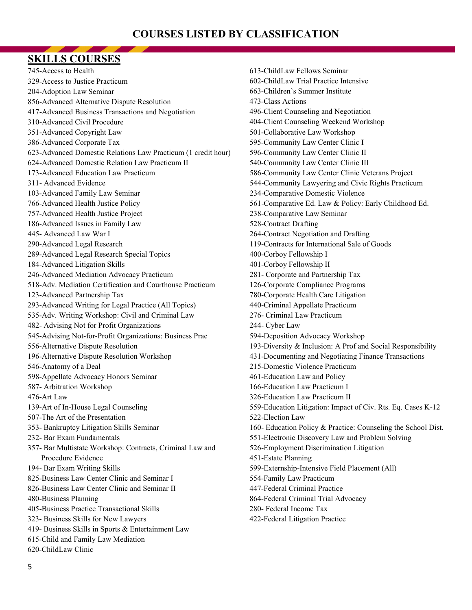# **COURSES LISTED BY CLASSIFICATION**

## **SKILLS COURSES**

745-Access to Health 329-Access to Justice Practicum 204-Adoption Law Seminar 856-Advanced Alternative Dispute Resolution 417-Advanced Business Transactions and Negotiation 310-Advanced Civil Procedure 351-Advanced Copyright Law 386-Advanced Corporate Tax 623-Advanced Domestic Relations Law Practicum (1 credit hour) 624-Advanced Domestic Relation Law Practicum II 173-Advanced Education Law Practicum 311- Advanced Evidence 103-Advanced Family Law Seminar 766-Advanced Health Justice Policy 757-Advanced Health Justice Project 186-Advanced Issues in Family Law 445- Advanced Law War I 290-Advanced Legal Research 289-Advanced Legal Research Special Topics 184-Advanced Litigation Skills 246-Advanced Mediation Advocacy Practicum 518-Adv. Mediation Certification and Courthouse Practicum 123-Advanced Partnership Tax 293-Advanced Writing for Legal Practice (All Topics) 535-Adv. Writing Workshop: Civil and Criminal Law 482- Advising Not for Profit Organizations 545-Advising Not-for-Profit Organizations: Business Prac 556-Alternative Dispute Resolution 196-Alternative Dispute Resolution Workshop 546-Anatomy of a Deal 598-Appellate Advocacy Honors Seminar 587- Arbitration Workshop 476-Art Law 139-Art of In-House Legal Counseling 507-The Art of the Presentation 353- Bankruptcy Litigation Skills Seminar 232- Bar Exam Fundamentals 357- Bar Multistate Workshop: Contracts, Criminal Law and Procedure Evidence 194- Bar Exam Writing Skills 825-Business Law Center Clinic and Seminar I 826-Business Law Center Clinic and Seminar II 480-Business Planning 405-Business Practice Transactional Skills 323- Business Skills for New Lawyers 419- Business Skills in Sports & Entertainment Law 615-Child and Family Law Mediation 620-ChildLaw Clinic

613-ChildLaw Fellows Seminar 602-ChildLaw Trial Practice Intensive 663-Children's Summer Institute 473-Class Actions 496-Client Counseling and Negotiation 404-Client Counseling Weekend Workshop 501-Collaborative Law Workshop 595-Community Law Center Clinic I 596-Community Law Center Clinic II 540-Community Law Center Clinic III 586-Community Law Center Clinic Veterans Project 544-Community Lawyering and Civic Rights Practicum 234-Comparative Domestic Violence 561-Comparative Ed. Law & Policy: Early Childhood Ed. 238-Comparative Law Seminar 528-Contract Drafting 264-Contract Negotiation and Drafting 119-Contracts for International Sale of Goods 400-Corboy Fellowship I 401-Corboy Fellowship II 281- Corporate and Partnership Tax 126-Corporate Compliance Programs 780-Corporate Health Care Litigation 440-Criminal Appellate Practicum 276- Criminal Law Practicum 244- Cyber Law 594-Deposition Advocacy Workshop 193-Diversity & Inclusion: A Prof and Social Responsibility 431-Documenting and Negotiating Finance Transactions 215-Domestic Violence Practicum 461-Education Law and Policy 166-Education Law Practicum I 326-Education Law Practicum II 559-Education Litigation: Impact of Civ. Rts. Eq. Cases K-12 522-Election Law 160- Education Policy & Practice: Counseling the School Dist. 551-Electronic Discovery Law and Problem Solving 526-Employment Discrimination Litigation 451-Estate Planning 599-Externship-Intensive Field Placement (All) 554-Family Law Practicum 447-Federal Criminal Practice 864-Federal Criminal Trial Advocacy 280- Federal Income Tax 422-Federal Litigation Practice